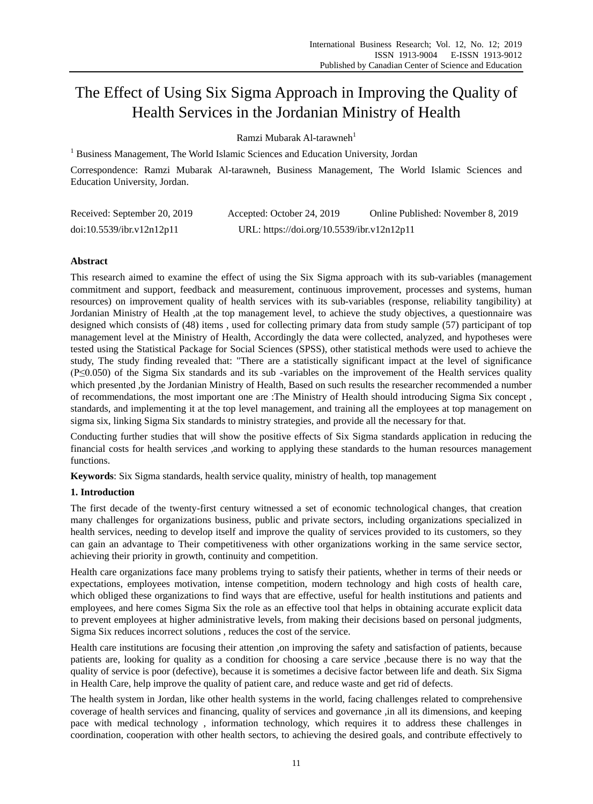# The Effect of Using Six Sigma Approach in Improving the Quality of Health Services in the Jordanian Ministry of Health

Ramzi Mubarak Al-tarawneh<sup>1</sup>

<sup>1</sup> Business Management, The World Islamic Sciences and Education University, Jordan

Correspondence: Ramzi Mubarak Al-tarawneh, Business Management, The World Islamic Sciences and Education University, Jordan.

| Received: September 20, 2019 | Accepted: October 24, 2019                 | Online Published: November 8, 2019 |
|------------------------------|--------------------------------------------|------------------------------------|
| doi:10.5539/ibr.v12n12p11    | URL: https://doi.org/10.5539/ibr.v12n12p11 |                                    |

# **Abstract**

This research aimed to examine the effect of using the Six Sigma approach with its sub-variables (management commitment and support, feedback and measurement, continuous improvement, processes and systems, human resources) on improvement quality of health services with its sub-variables (response, reliability tangibility) at Jordanian Ministry of Health ,at the top management level, to achieve the study objectives, a questionnaire was designed which consists of (48) items , used for collecting primary data from study sample (57) participant of top management level at the Ministry of Health, Accordingly the data were collected, analyzed, and hypotheses were tested using the Statistical Package for Social Sciences (SPSS), other statistical methods were used to achieve the study, The study finding revealed that: "There are a statistically significant impact at the level of significance (P≤0.050) of the Sigma Six standards and its sub -variables on the improvement of the Health services quality which presented , by the Jordanian Ministry of Health, Based on such results the researcher recommended a number of recommendations, the most important one are :The Ministry of Health should introducing Sigma Six concept , standards, and implementing it at the top level management, and training all the employees at top management on sigma six, linking Sigma Six standards to ministry strategies, and provide all the necessary for that.

Conducting further studies that will show the positive effects of Six Sigma standards application in reducing the financial costs for health services ,and working to applying these standards to the human resources management functions.

**Keywords**: Six Sigma standards, health service quality, ministry of health, top management

## **1. Introduction**

The first decade of the twenty-first century witnessed a set of economic technological changes, that creation many challenges for organizations business, public and private sectors, including organizations specialized in health services, needing to develop itself and improve the quality of services provided to its customers, so they can gain an advantage to Their competitiveness with other organizations working in the same service sector, achieving their priority in growth, continuity and competition.

Health care organizations face many problems trying to satisfy their patients, whether in terms of their needs or expectations, employees motivation, intense competition, modern technology and high costs of health care, which obliged these organizations to find ways that are effective, useful for health institutions and patients and employees, and here comes Sigma Six the role as an effective tool that helps in obtaining accurate explicit data to prevent employees at higher administrative levels, from making their decisions based on personal judgments, Sigma Six reduces incorrect solutions , reduces the cost of the service.

Health care institutions are focusing their attention ,on improving the safety and satisfaction of patients, because patients are, looking for quality as a condition for choosing a care service ,because there is no way that the quality of service is poor (defective), because it is sometimes a decisive factor between life and death. Six Sigma in Health Care, help improve the quality of patient care, and reduce waste and get rid of defects.

The health system in Jordan, like other health systems in the world, facing challenges related to comprehensive coverage of health services and financing, quality of services and governance ,in all its dimensions, and keeping pace with medical technology , information technology, which requires it to address these challenges in coordination, cooperation with other health sectors, to achieving the desired goals, and contribute effectively to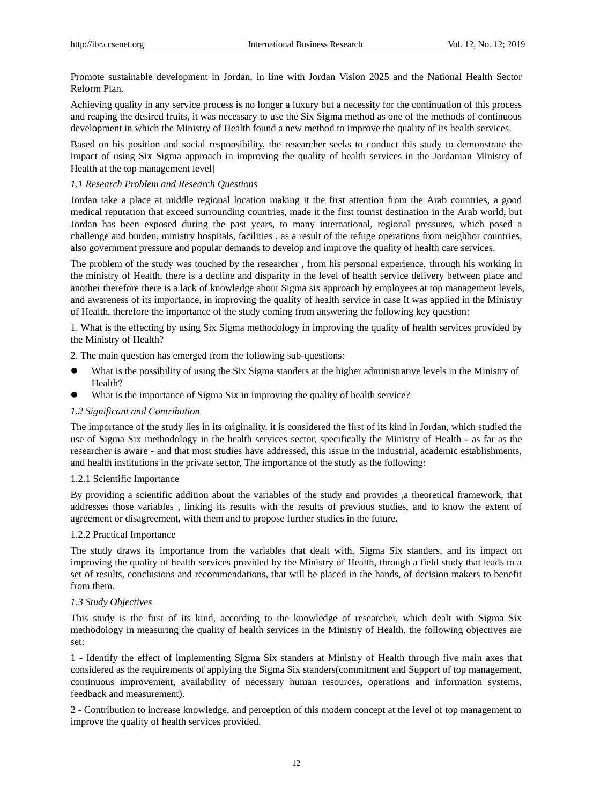Promote sustainable development in Jordan, in line with Jordan Vision 2025 and the National Health Sector Reform Plan.

Achieving quality in any service process is no longer a luxury but a necessity for the continuation of this process and reaping the desired fruits, it was necessary to use the Six Sigma method as one of the methods of continuous development in which the Ministry of Health found a new method to improve the quality of its health services.

Based on his position and social responsibility, the researcher seeks to conduct this study to demonstrate the impact of using Six Sigma approach in improving the quality of health services in the Jordanian Ministry of Health at the top management level]

## *1.1 Research Problem and Research Questions*

Jordan take a place at middle regional location making it the first attention from the Arab countries, a good medical reputation that exceed surrounding countries, made it the first tourist destination in the Arab world, but Jordan has been exposed during the past years, to many international, regional pressures, which posed a challenge and burden, ministry hospitals, facilities , as a result of the refuge operations from neighbor countries, also government pressure and popular demands to develop and improve the quality of health care services.

The problem of the study was touched by the researcher , from his personal experience, through his working in the ministry of Health, there is a decline and disparity in the level of health service delivery between place and another therefore there is a lack of knowledge about Sigma six approach by employees at top management levels, and awareness of its importance, in improving the quality of health service in case It was applied in the Ministry of Health, therefore the importance of the study coming from answering the following key question:

1. What is the effecting by using Six Sigma methodology in improving the quality of health services provided by the Ministry of Health?

2. The main question has emerged from the following sub-questions:

- What is the possibility of using the Six Sigma standers at the higher administrative levels in the Ministry of Health?
- What is the importance of Sigma Six in improving the quality of health service?

## *1.2 Significant and Contribution*

The importance of the study lies in its originality, it is considered the first of its kind in Jordan, which studied the use of Sigma Six methodology in the health services sector, specifically the Ministry of Health - as far as the researcher is aware - and that most studies have addressed, this issue in the industrial, academic establishments, and health institutions in the private sector, The importance of the study as the following:

## 1.2.1 Scientific Importance

By providing a scientific addition about the variables of the study and provides ,a theoretical framework, that addresses those variables , linking its results with the results of previous studies, and to know the extent of agreement or disagreement, with them and to propose further studies in the future.

## 1.2.2 Practical Importance

The study draws its importance from the variables that dealt with, Sigma Six standers, and its impact on improving the quality of health services provided by the Ministry of Health, through a field study that leads to a set of results, conclusions and recommendations, that will be placed in the hands, of decision makers to benefit from them.

## *1.3 Study Objectives*

This study is the first of its kind, according to the knowledge of researcher, which dealt with Sigma Six methodology in measuring the quality of health services in the Ministry of Health, the following objectives are set:

1 - Identify the effect of implementing Sigma Six standers at Ministry of Health through five main axes that considered as the requirements of applying the Sigma Six standers(commitment and Support of top management, continuous improvement, availability of necessary human resources, operations and information systems, feedback and measurement).

2 - Contribution to increase knowledge, and perception of this modern concept at the level of top management to improve the quality of health services provided.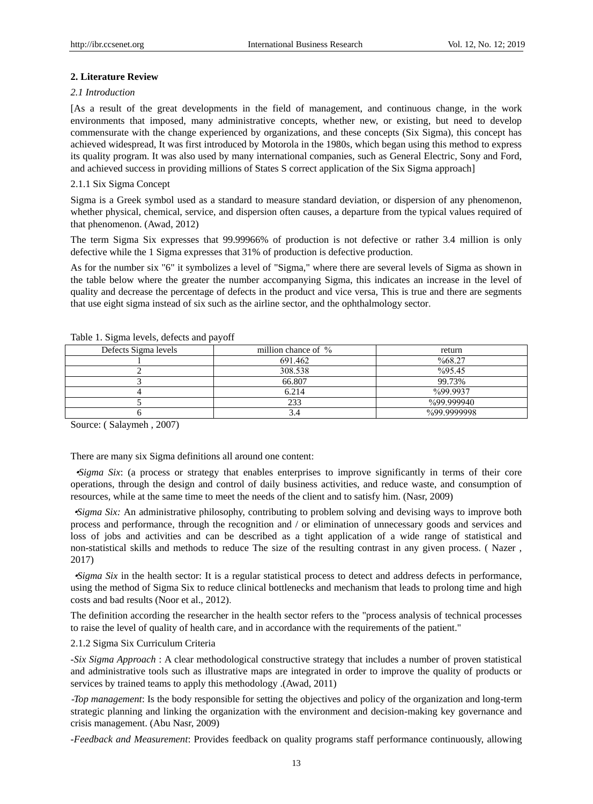## **2. Literature Review**

#### *2.1 Introduction*

[As a result of the great developments in the field of management, and continuous change, in the work environments that imposed, many administrative concepts, whether new, or existing, but need to develop commensurate with the change experienced by organizations, and these concepts (Six Sigma), this concept has achieved widespread, It was first introduced by Motorola in the 1980s, which began using this method to express its quality program. It was also used by many international companies, such as General Electric, Sony and Ford, and achieved success in providing millions of States S correct application of the Six Sigma approach]

## 2.1.1 Six Sigma Concept

Sigma is a Greek symbol used as a standard to measure standard deviation, or dispersion of any phenomenon, whether physical, chemical, service, and dispersion often causes, a departure from the typical values required of that phenomenon. (Awad, 2012)

The term Sigma Six expresses that 99.99966% of production is not defective or rather 3.4 million is only defective while the 1 Sigma expresses that 31% of production is defective production.

As for the number six "6" it symbolizes a level of "Sigma," where there are several levels of Sigma as shown in the table below where the greater the number accompanying Sigma, this indicates an increase in the level of quality and decrease the percentage of defects in the product and vice versa, This is true and there are segments that use eight sigma instead of six such as the airline sector, and the ophthalmology sector.

| Defects Sigma levels | million chance of $\%$ | return      |
|----------------------|------------------------|-------------|
|                      | 691.462                | %68.27      |
|                      | 308.538                | %95.45      |
|                      | 66.807                 | 99.73%      |
|                      | 6.214                  | %99.9937    |
|                      | 233                    | %99.999940  |
|                      |                        | %99.9999998 |
|                      |                        |             |

Table 1. Sigma levels, defects and payoff

Source: ( Salaymeh , 2007)

There are many six Sigma definitions all around one content:

•*Sigma Six*: (a process or strategy that enables enterprises to improve significantly in terms of their core operations, through the design and control of daily business activities, and reduce waste, and consumption of resources, while at the same time to meet the needs of the client and to satisfy him. (Nasr, 2009)

•*Sigma Six:* An administrative philosophy, contributing to problem solving and devising ways to improve both process and performance, through the recognition and / or elimination of unnecessary goods and services and loss of jobs and activities and can be described as a tight application of a wide range of statistical and non-statistical skills and methods to reduce The size of the resulting contrast in any given process. ( Nazer , 2017)

•*Sigma Six* in the health sector: It is a regular statistical process to detect and address defects in performance, using the method of Sigma Six to reduce clinical bottlenecks and mechanism that leads to prolong time and high costs and bad results (Noor et al., 2012).

The definition according the researcher in the health sector refers to the "process analysis of technical processes to raise the level of quality of health care, and in accordance with the requirements of the patient."

## 2.1.2 Sigma Six Curriculum Criteria

*-Six Sigma Approach* : A clear methodological constructive strategy that includes a number of proven statistical and administrative tools such as illustrative maps are integrated in order to improve the quality of products or services by trained teams to apply this methodology .(Awad, 2011)

-*Top management*: Is the body responsible for setting the objectives and policy of the organization and long-term strategic planning and linking the organization with the environment and decision-making key governance and crisis management. (Abu Nasr, 2009)

*-Feedback and Measurement*: Provides feedback on quality programs staff performance continuously, allowing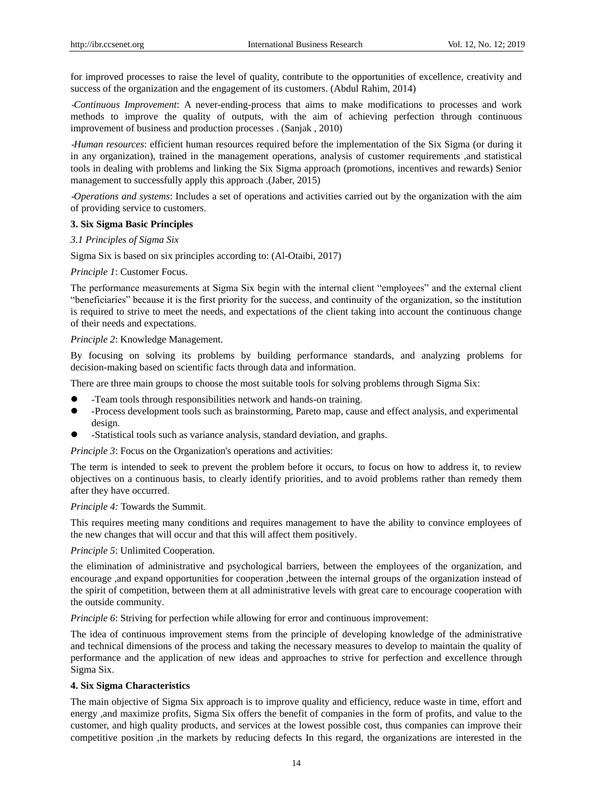for improved processes to raise the level of quality, contribute to the opportunities of excellence, creativity and success of the organization and the engagement of its customers. (Abdul Rahim, 2014)

-*Continuous Improvement*: A never-ending-process that aims to make modifications to processes and work methods to improve the quality of outputs, with the aim of achieving perfection through continuous improvement of business and production processes . (Sanjak , 2010)

-*Human resources*: efficient human resources required before the implementation of the Six Sigma (or during it in any organization), trained in the management operations, analysis of customer requirements ,and statistical tools in dealing with problems and linking the Six Sigma approach (promotions, incentives and rewards) Senior management to successfully apply this approach .(Jaber, 2015)

-*Operations and systems*: Includes a set of operations and activities carried out by the organization with the aim of providing service to customers.

#### **3. Six Sigma Basic Principles**

*3.1 Principles of Sigma Six*

Sigma Six is based on six principles according to: (Al-Otaibi, 2017)

*Principle 1*: Customer Focus.

The performance measurements at Sigma Six begin with the internal client "employees" and the external client "beneficiaries" because it is the first priority for the success, and continuity of the organization, so the institution is required to strive to meet the needs, and expectations of the client taking into account the continuous change of their needs and expectations.

#### *Principle 2*: Knowledge Management.

By focusing on solving its problems by building performance standards, and analyzing problems for decision-making based on scientific facts through data and information.

There are three main groups to choose the most suitable tools for solving problems through Sigma Six:

- -Team tools through responsibilities network and hands-on training.
- -Process development tools such as brainstorming, Pareto map, cause and effect analysis, and experimental design.
- -Statistical tools such as variance analysis, standard deviation, and graphs.

*Principle 3*: Focus on the Organization's operations and activities:

The term is intended to seek to prevent the problem before it occurs, to focus on how to address it, to review objectives on a continuous basis, to clearly identify priorities, and to avoid problems rather than remedy them after they have occurred.

#### *Principle 4:* Towards the Summit.

This requires meeting many conditions and requires management to have the ability to convince employees of the new changes that will occur and that this will affect them positively.

*Principle 5*: Unlimited Cooperation.

the elimination of administrative and psychological barriers, between the employees of the organization, and encourage ,and expand opportunities for cooperation ,between the internal groups of the organization instead of the spirit of competition, between them at all administrative levels with great care to encourage cooperation with the outside community.

*Principle 6*: Striving for perfection while allowing for error and continuous improvement:

The idea of continuous improvement stems from the principle of developing knowledge of the administrative and technical dimensions of the process and taking the necessary measures to develop to maintain the quality of performance and the application of new ideas and approaches to strive for perfection and excellence through Sigma Six.

#### **4. Six Sigma Characteristics**

The main objective of Sigma Six approach is to improve quality and efficiency, reduce waste in time, effort and energy ,and maximize profits, Sigma Six offers the benefit of companies in the form of profits, and value to the customer, and high quality products, and services at the lowest possible cost, thus companies can improve their competitive position ,in the markets by reducing defects In this regard, the organizations are interested in the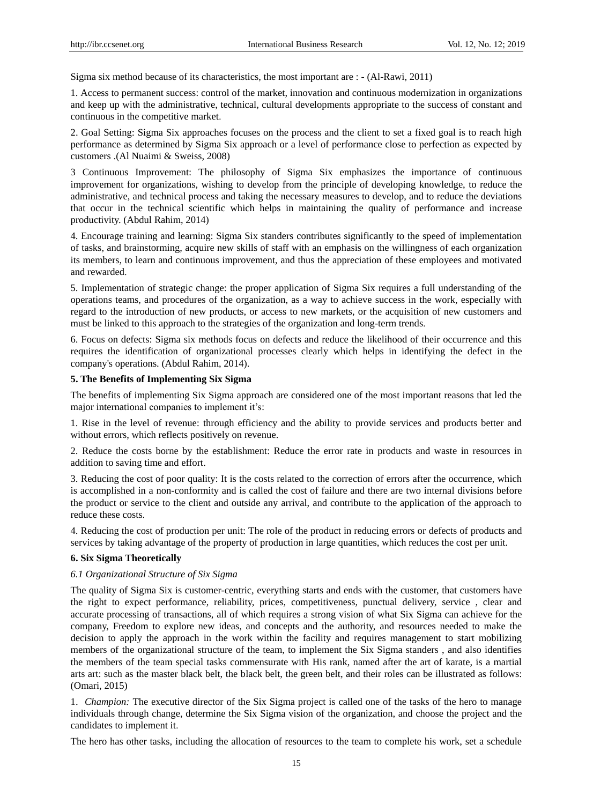Sigma six method because of its characteristics, the most important are : - (Al-Rawi, 2011)

1. Access to permanent success: control of the market, innovation and continuous modernization in organizations and keep up with the administrative, technical, cultural developments appropriate to the success of constant and continuous in the competitive market.

2. Goal Setting: Sigma Six approaches focuses on the process and the client to set a fixed goal is to reach high performance as determined by Sigma Six approach or a level of performance close to perfection as expected by customers .(Al Nuaimi & Sweiss, 2008)

3 Continuous Improvement: The philosophy of Sigma Six emphasizes the importance of continuous improvement for organizations, wishing to develop from the principle of developing knowledge, to reduce the administrative, and technical process and taking the necessary measures to develop, and to reduce the deviations that occur in the technical scientific which helps in maintaining the quality of performance and increase productivity. (Abdul Rahim, 2014)

4. Encourage training and learning: Sigma Six standers contributes significantly to the speed of implementation of tasks, and brainstorming, acquire new skills of staff with an emphasis on the willingness of each organization its members, to learn and continuous improvement, and thus the appreciation of these employees and motivated and rewarded.

5. Implementation of strategic change: the proper application of Sigma Six requires a full understanding of the operations teams, and procedures of the organization, as a way to achieve success in the work, especially with regard to the introduction of new products, or access to new markets, or the acquisition of new customers and must be linked to this approach to the strategies of the organization and long-term trends.

6. Focus on defects: Sigma six methods focus on defects and reduce the likelihood of their occurrence and this requires the identification of organizational processes clearly which helps in identifying the defect in the company's operations. (Abdul Rahim, 2014).

#### **5. The Benefits of Implementing Six Sigma**

The benefits of implementing Six Sigma approach are considered one of the most important reasons that led the major international companies to implement it's:

1. Rise in the level of revenue: through efficiency and the ability to provide services and products better and without errors, which reflects positively on revenue.

2. Reduce the costs borne by the establishment: Reduce the error rate in products and waste in resources in addition to saving time and effort.

3. Reducing the cost of poor quality: It is the costs related to the correction of errors after the occurrence, which is accomplished in a non-conformity and is called the cost of failure and there are two internal divisions before the product or service to the client and outside any arrival, and contribute to the application of the approach to reduce these costs.

4. Reducing the cost of production per unit: The role of the product in reducing errors or defects of products and services by taking advantage of the property of production in large quantities, which reduces the cost per unit.

# **6. Six Sigma Theoretically**

#### *6.1 Organizational Structure of Six Sigma*

The quality of Sigma Six is customer-centric, everything starts and ends with the customer, that customers have the right to expect performance, reliability, prices, competitiveness, punctual delivery, service , clear and accurate processing of transactions, all of which requires a strong vision of what Six Sigma can achieve for the company, Freedom to explore new ideas, and concepts and the authority, and resources needed to make the decision to apply the approach in the work within the facility and requires management to start mobilizing members of the organizational structure of the team, to implement the Six Sigma standers , and also identifies the members of the team special tasks commensurate with His rank, named after the art of karate, is a martial arts art: such as the master black belt, the black belt, the green belt, and their roles can be illustrated as follows: (Omari, 2015)

1. *Champion:* The executive director of the Six Sigma project is called one of the tasks of the hero to manage individuals through change, determine the Six Sigma vision of the organization, and choose the project and the candidates to implement it.

The hero has other tasks, including the allocation of resources to the team to complete his work, set a schedule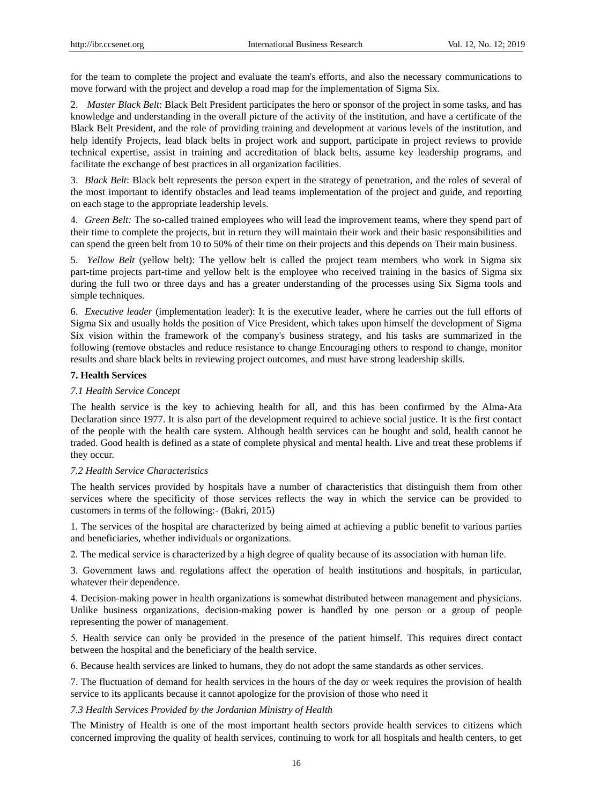for the team to complete the project and evaluate the team's efforts, and also the necessary communications to move forward with the project and develop a road map for the implementation of Sigma Six.

2. *Master Black Belt*: Black Belt President participates the hero or sponsor of the project in some tasks, and has knowledge and understanding in the overall picture of the activity of the institution, and have a certificate of the Black Belt President, and the role of providing training and development at various levels of the institution, and help identify Projects, lead black belts in project work and support, participate in project reviews to provide technical expertise, assist in training and accreditation of black belts, assume key leadership programs, and facilitate the exchange of best practices in all organization facilities.

3. *Black Belt*: Black belt represents the person expert in the strategy of penetration, and the roles of several of the most important to identify obstacles and lead teams implementation of the project and guide, and reporting on each stage to the appropriate leadership levels.

4. *Green Belt:* The so-called trained employees who will lead the improvement teams, where they spend part of their time to complete the projects, but in return they will maintain their work and their basic responsibilities and can spend the green belt from 10 to 50% of their time on their projects and this depends on Their main business.

5. *Yellow Belt* (yellow belt): The yellow belt is called the project team members who work in Sigma six part-time projects part-time and yellow belt is the employee who received training in the basics of Sigma six during the full two or three days and has a greater understanding of the processes using Six Sigma tools and simple techniques.

6. *Executive leader* (implementation leader): It is the executive leader, where he carries out the full efforts of Sigma Six and usually holds the position of Vice President, which takes upon himself the development of Sigma Six vision within the framework of the company's business strategy, and his tasks are summarized in the following (remove obstacles and reduce resistance to change Encouraging others to respond to change, monitor results and share black belts in reviewing project outcomes, and must have strong leadership skills.

## **7. Health Services**

## *7.1 Health Service Concept*

The health service is the key to achieving health for all, and this has been confirmed by the Alma-Ata Declaration since 1977. It is also part of the development required to achieve social justice. It is the first contact of the people with the health care system. Although health services can be bought and sold, health cannot be traded. Good health is defined as a state of complete physical and mental health. Live and treat these problems if they occur.

#### *7.2 Health Service Characteristics*

The health services provided by hospitals have a number of characteristics that distinguish them from other services where the specificity of those services reflects the way in which the service can be provided to customers in terms of the following:- (Bakri, 2015)

1. The services of the hospital are characterized by being aimed at achieving a public benefit to various parties and beneficiaries, whether individuals or organizations.

6. The medical service is characterized by a high degree of quality because of its association with human life.

3. Government laws and regulations affect the operation of health institutions and hospitals, in particular, whatever their dependence.

1. Decision-making power in health organizations is somewhat distributed between management and physicians. Unlike business organizations, decision-making power is handled by one person or a group of people representing the power of management.

2. Health service can only be provided in the presence of the patient himself. This requires direct contact between the hospital and the beneficiary of the health service.

3. Because health services are linked to humans, they do not adopt the same standards as other services.

7. The fluctuation of demand for health services in the hours of the day or week requires the provision of health service to its applicants because it cannot apologize for the provision of those who need it

#### *7.3 Health Services Provided by the Jordanian Ministry of Health*

The Ministry of Health is one of the most important health sectors provide health services to citizens which concerned improving the quality of health services, continuing to work for all hospitals and health centers, to get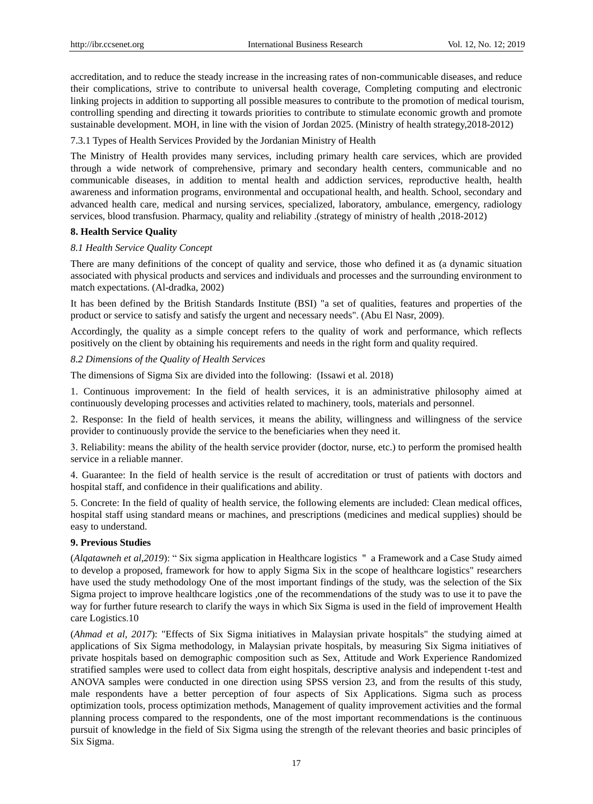accreditation, and to reduce the steady increase in the increasing rates of non-communicable diseases, and reduce their complications, strive to contribute to universal health coverage, Completing computing and electronic linking projects in addition to supporting all possible measures to contribute to the promotion of medical tourism, controlling spending and directing it towards priorities to contribute to stimulate economic growth and promote sustainable development. MOH, in line with the vision of Jordan 2025. (Ministry of health strategy,2018-2012)

7.3.1 Types of Health Services Provided by the Jordanian Ministry of Health

The Ministry of Health provides many services, including primary health care services, which are provided through a wide network of comprehensive, primary and secondary health centers, communicable and no communicable diseases, in addition to mental health and addiction services, reproductive health, health awareness and information programs, environmental and occupational health, and health. School, secondary and advanced health care, medical and nursing services, specialized, laboratory, ambulance, emergency, radiology services, blood transfusion. Pharmacy, quality and reliability .(strategy of ministry of health ,2018-2012)

#### **8. Health Service Quality**

#### *8.1 Health Service Quality Concept*

There are many definitions of the concept of quality and service, those who defined it as (a dynamic situation associated with physical products and services and individuals and processes and the surrounding environment to match expectations. (Al-dradka, 2002)

It has been defined by the British Standards Institute (BSI) "a set of qualities, features and properties of the product or service to satisfy and satisfy the urgent and necessary needs". (Abu El Nasr, 2009).

Accordingly, the quality as a simple concept refers to the quality of work and performance, which reflects positively on the client by obtaining his requirements and needs in the right form and quality required.

*8.2 Dimensions of the Quality of Health Services*

The dimensions of Sigma Six are divided into the following: (Issawi et al. 2018)

1. Continuous improvement: In the field of health services, it is an administrative philosophy aimed at continuously developing processes and activities related to machinery, tools, materials and personnel.

6. Response: In the field of health services, it means the ability, willingness and willingness of the service provider to continuously provide the service to the beneficiaries when they need it.

0. Reliability: means the ability of the health service provider (doctor, nurse, etc.) to perform the promised health service in a reliable manner.

1. Guarantee: In the field of health service is the result of accreditation or trust of patients with doctors and hospital staff, and confidence in their qualifications and ability.

5. Concrete: In the field of quality of health service, the following elements are included: Clean medical offices, hospital staff using standard means or machines, and prescriptions (medicines and medical supplies) should be easy to understand.

#### **9. Previous Studies**

(*Alqatawneh et al,2019*): " Six sigma application in Healthcare logistics " a Framework and a Case Study aimed to develop a proposed, framework for how to apply Sigma Six in the scope of healthcare logistics" researchers have used the study methodology One of the most important findings of the study, was the selection of the Six Sigma project to improve healthcare logistics ,one of the recommendations of the study was to use it to pave the way for further future research to clarify the ways in which Six Sigma is used in the field of improvement Health care Logistics.10

(*Ahmad et al, 2017*): "Effects of Six Sigma initiatives in Malaysian private hospitals" the studying aimed at applications of Six Sigma methodology, in Malaysian private hospitals, by measuring Six Sigma initiatives of private hospitals based on demographic composition such as Sex, Attitude and Work Experience Randomized stratified samples were used to collect data from eight hospitals, descriptive analysis and independent t-test and ANOVA samples were conducted in one direction using SPSS version 23, and from the results of this study, male respondents have a better perception of four aspects of Six Applications. Sigma such as process optimization tools, process optimization methods, Management of quality improvement activities and the formal planning process compared to the respondents, one of the most important recommendations is the continuous pursuit of knowledge in the field of Six Sigma using the strength of the relevant theories and basic principles of Six Sigma.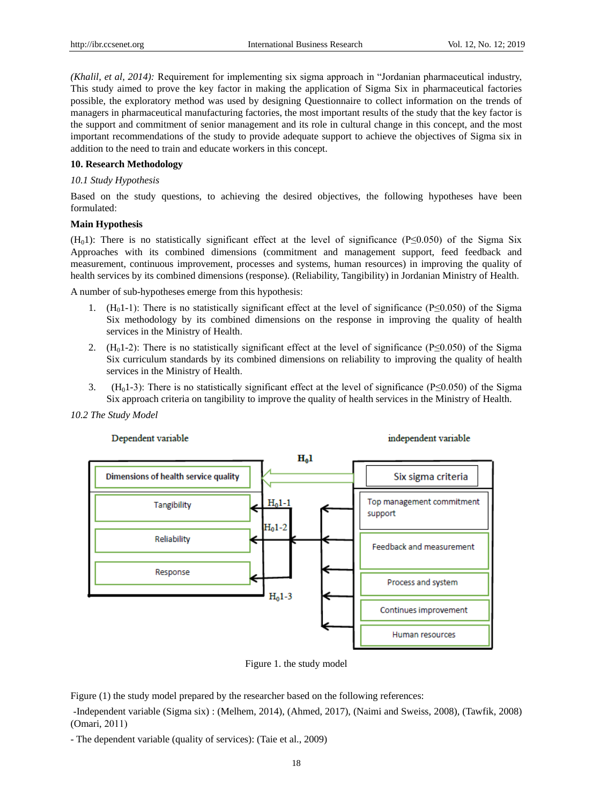*(Khalil, et al, 2014):* Requirement for implementing six sigma approach in "Jordanian pharmaceutical industry, This study aimed to prove the key factor in making the application of Sigma Six in pharmaceutical factories possible, the exploratory method was used by designing Questionnaire to collect information on the trends of managers in pharmaceutical manufacturing factories, the most important results of the study that the key factor is the support and commitment of senior management and its role in cultural change in this concept, and the most important recommendations of the study to provide adequate support to achieve the objectives of Sigma six in addition to the need to train and educate workers in this concept.

## **10. Research Methodology**

## *10.1 Study Hypothesis*

Based on the study questions, to achieving the desired objectives, the following hypotheses have been formulated:

#### **Main Hypothesis**

 $(H<sub>0</sub>)$ : There is no statistically significant effect at the level of significance (P≤0.050) of the Sigma Six Approaches with its combined dimensions (commitment and management support, feed feedback and measurement, continuous improvement, processes and systems, human resources) in improving the quality of health services by its combined dimensions (response). (Reliability, Tangibility) in Jordanian Ministry of Health.

A number of sub-hypotheses emerge from this hypothesis:

- 1. (H<sub>0</sub>1-1): There is no statistically significant effect at the level of significance (P≤0.050) of the Sigma Six methodology by its combined dimensions on the response in improving the quality of health services in the Ministry of Health.
- 2. (H<sub>0</sub>1-2): There is no statistically significant effect at the level of significance (P≤0.050) of the Sigma Six curriculum standards by its combined dimensions on reliability to improving the quality of health services in the Ministry of Health.
- 3. (H<sub>0</sub>1-3): There is no statistically significant effect at the level of significance (P≤0.050) of the Sigma Six approach criteria on tangibility to improve the quality of health services in the Ministry of Health.





## Dependent variable

Figure (1) the study model prepared by the researcher based on the following references:

-Independent variable (Sigma six) : (Melhem, 2014), (Ahmed, 2017), (Naimi and Sweiss, 2008), (Tawfik, 2008)  $(Omari, 2011)$ 

- The dependent variable (quality of services): (Taie et al., 2009)

Figure 1. the study model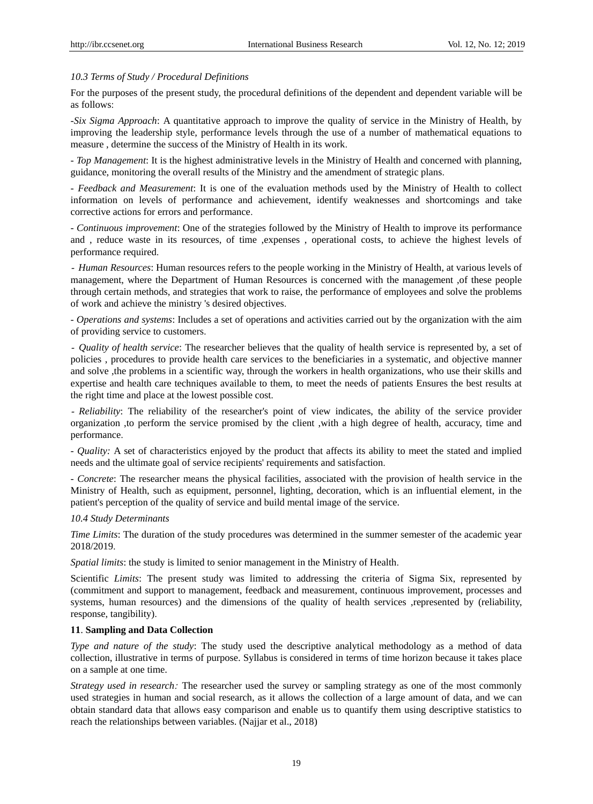#### *10.3 Terms of Study / Procedural Definitions*

For the purposes of the present study, the procedural definitions of the dependent and dependent variable will be as follows:

*-Six Sigma Approach*: A quantitative approach to improve the quality of service in the Ministry of Health, by improving the leadership style, performance levels through the use of a number of mathematical equations to measure , determine the success of the Ministry of Health in its work.

- *Top Management*: It is the highest administrative levels in the Ministry of Health and concerned with planning, guidance, monitoring the overall results of the Ministry and the amendment of strategic plans.

- *Feedback and Measurement*: It is one of the evaluation methods used by the Ministry of Health to collect information on levels of performance and achievement, identify weaknesses and shortcomings and take corrective actions for errors and performance.

- *Continuous improvement*: One of the strategies followed by the Ministry of Health to improve its performance and , reduce waste in its resources, of time ,expenses , operational costs, to achieve the highest levels of performance required.

- *Human Resources*: Human resources refers to the people working in the Ministry of Health, at various levels of management, where the Department of Human Resources is concerned with the management ,of these people through certain methods, and strategies that work to raise, the performance of employees and solve the problems of work and achieve the ministry 's desired objectives.

- *Operations and systems*: Includes a set of operations and activities carried out by the organization with the aim of providing service to customers.

- *Quality of health service*: The researcher believes that the quality of health service is represented by, a set of policies , procedures to provide health care services to the beneficiaries in a systematic, and objective manner and solve ,the problems in a scientific way, through the workers in health organizations, who use their skills and expertise and health care techniques available to them, to meet the needs of patients Ensures the best results at the right time and place at the lowest possible cost.

- *Reliability*: The reliability of the researcher's point of view indicates, the ability of the service provider organization ,to perform the service promised by the client ,with a high degree of health, accuracy, time and performance.

- *Quality:* A set of characteristics enjoyed by the product that affects its ability to meet the stated and implied needs and the ultimate goal of service recipients' requirements and satisfaction.

- *Concrete*: The researcher means the physical facilities, associated with the provision of health service in the Ministry of Health, such as equipment, personnel, lighting, decoration, which is an influential element, in the patient's perception of the quality of service and build mental image of the service.

#### *10.4 Study Determinants*

*Time Limits*: The duration of the study procedures was determined in the summer semester of the academic year 2018/2019.

*Spatial limits*: the study is limited to senior management in the Ministry of Health.

Scientific *Limits*: The present study was limited to addressing the criteria of Sigma Six, represented by (commitment and support to management, feedback and measurement, continuous improvement, processes and systems, human resources) and the dimensions of the quality of health services ,represented by (reliability, response, tangibility).

#### **11**. **Sampling and Data Collection**

*Type and nature of the study*: The study used the descriptive analytical methodology as a method of data collection, illustrative in terms of purpose. Syllabus is considered in terms of time horizon because it takes place on a sample at one time.

*Strategy used in research:* The researcher used the survey or sampling strategy as one of the most commonly used strategies in human and social research, as it allows the collection of a large amount of data, and we can obtain standard data that allows easy comparison and enable us to quantify them using descriptive statistics to reach the relationships between variables. (Najjar et al., 2018)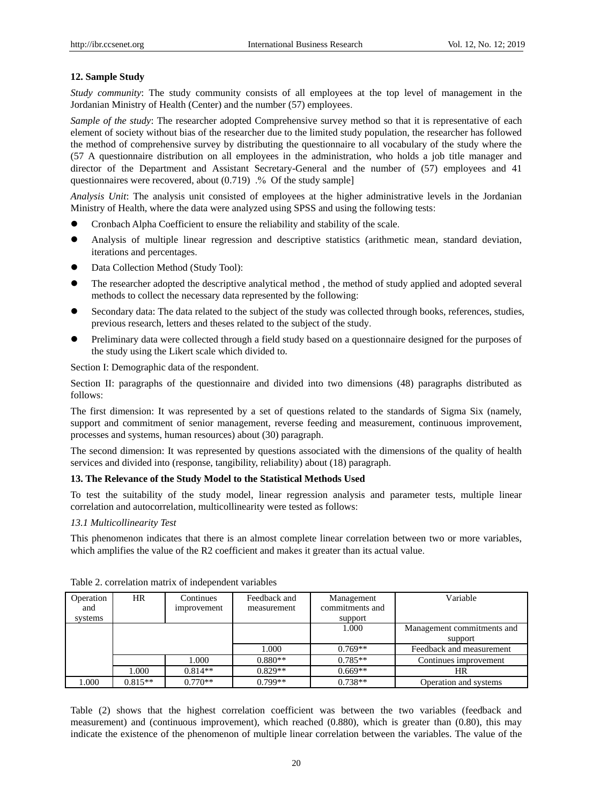## **12. Sample Study**

*Study community*: The study community consists of all employees at the top level of management in the Jordanian Ministry of Health (Center) and the number (57) employees.

*Sample of the study*: The researcher adopted Comprehensive survey method so that it is representative of each element of society without bias of the researcher due to the limited study population, the researcher has followed the method of comprehensive survey by distributing the questionnaire to all vocabulary of the study where the (57 A questionnaire distribution on all employees in the administration, who holds a job title manager and director of the Department and Assistant Secretary-General and the number of (57) employees and 41 questionnaires were recovered, about (0.719) .% Of the study sample]

*Analysis Unit*: The analysis unit consisted of employees at the higher administrative levels in the Jordanian Ministry of Health, where the data were analyzed using SPSS and using the following tests:

- Cronbach Alpha Coefficient to ensure the reliability and stability of the scale.
- Analysis of multiple linear regression and descriptive statistics (arithmetic mean, standard deviation, iterations and percentages.
- Data Collection Method (Study Tool):
- The researcher adopted the descriptive analytical method , the method of study applied and adopted several methods to collect the necessary data represented by the following:
- Secondary data: The data related to the subject of the study was collected through books, references, studies, previous research, letters and theses related to the subject of the study.
- Preliminary data were collected through a field study based on a questionnaire designed for the purposes of the study using the Likert scale which divided to.

Section I: Demographic data of the respondent.

Section II: paragraphs of the questionnaire and divided into two dimensions (48) paragraphs distributed as follows:

The first dimension: It was represented by a set of questions related to the standards of Sigma Six (namely, support and commitment of senior management, reverse feeding and measurement, continuous improvement, processes and systems, human resources) about (30) paragraph.

The second dimension: It was represented by questions associated with the dimensions of the quality of health services and divided into (response, tangibility, reliability) about (18) paragraph.

#### **13. The Relevance of the Study Model to the Statistical Methods Used**

To test the suitability of the study model, linear regression analysis and parameter tests, multiple linear correlation and autocorrelation, multicollinearity were tested as follows:

## *13.1 Multicollinearity Test*

This phenomenon indicates that there is an almost complete linear correlation between two or more variables, which amplifies the value of the R2 coefficient and makes it greater than its actual value.

| Operation<br>and | HR<br>Continues<br>improvement |           | Feedback and<br>measurement | Management<br>commitments and | Variable                   |
|------------------|--------------------------------|-----------|-----------------------------|-------------------------------|----------------------------|
| systems          |                                |           |                             | support                       |                            |
|                  |                                |           |                             | 1.000                         | Management commitments and |
|                  |                                |           |                             |                               | support                    |
|                  |                                |           | 1.000                       | $0.769**$                     | Feedback and measurement   |
|                  |                                | 1.000     | $0.880**$                   | $0.785**$                     | Continues improvement      |
|                  | 000.1                          | $0.814**$ | $0.829**$                   | $0.669**$                     | HR                         |
| 1.000            | $0.815**$                      | $0.770**$ | $0.799**$                   | $0.738**$                     | Operation and systems      |

Table 2. correlation matrix of independent variables

Table (2) shows that the highest correlation coefficient was between the two variables (feedback and measurement) and (continuous improvement), which reached (0.880), which is greater than (0.80), this may indicate the existence of the phenomenon of multiple linear correlation between the variables. The value of the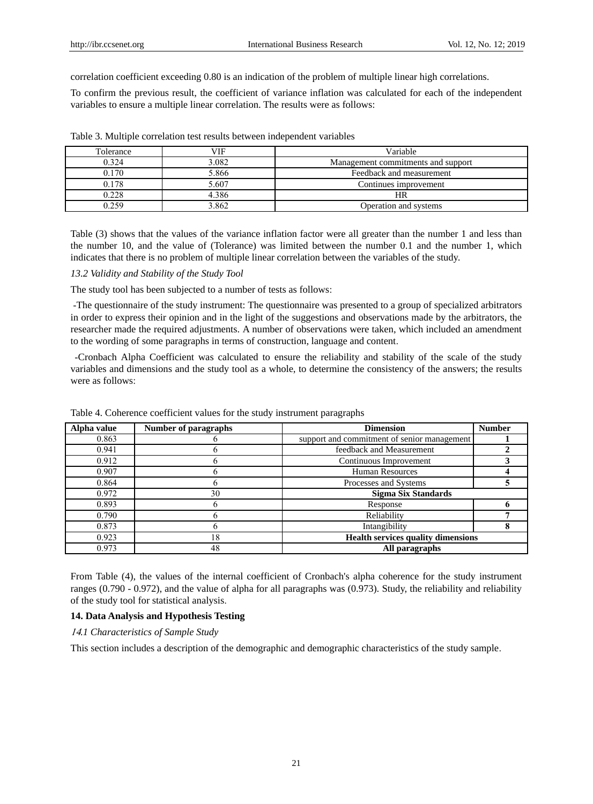correlation coefficient exceeding 0.80 is an indication of the problem of multiple linear high correlations.

To confirm the previous result, the coefficient of variance inflation was calculated for each of the independent variables to ensure a multiple linear correlation. The results were as follows:

| Tolerance | VIF   | Variable                           |
|-----------|-------|------------------------------------|
| 0.324     | 3.082 | Management commitments and support |
| 0.170     | 5.866 | Feedback and measurement           |
| 0.178     | 5.607 | Continues improvement              |
| 0.228     | 4.386 | HR                                 |
| ) 259     | 3.862 | Operation and systems              |

Table 3. Multiple correlation test results between independent variables

Table (3) shows that the values of the variance inflation factor were all greater than the number 1 and less than the number 10, and the value of (Tolerance) was limited between the number 0.1 and the number 1, which indicates that there is no problem of multiple linear correlation between the variables of the study.

#### *13.2 Validity and Stability of the Study Tool*

The study tool has been subjected to a number of tests as follows:

-The questionnaire of the study instrument: The questionnaire was presented to a group of specialized arbitrators in order to express their opinion and in the light of the suggestions and observations made by the arbitrators, the researcher made the required adjustments. A number of observations were taken, which included an amendment to the wording of some paragraphs in terms of construction, language and content.

-Cronbach Alpha Coefficient was calculated to ensure the reliability and stability of the scale of the study variables and dimensions and the study tool as a whole, to determine the consistency of the answers; the results were as follows:

| Alpha value | Number of paragraphs | <b>Dimension</b>                            | <b>Number</b> |
|-------------|----------------------|---------------------------------------------|---------------|
| 0.863       |                      | support and commitment of senior management |               |
| 0.941       |                      | feedback and Measurement                    |               |
| 0.912       |                      | Continuous Improvement                      |               |
| 0.907       |                      | <b>Human Resources</b>                      |               |
| 0.864       |                      | Processes and Systems                       |               |
| 0.972       | 30                   | <b>Sigma Six Standards</b>                  |               |
| 0.893       |                      | Response                                    |               |
| 0.790       |                      | Reliability                                 |               |
| 0.873       |                      | Intangibility                               |               |
| 0.923       | 18                   | <b>Health services quality dimensions</b>   |               |
| 0.973       | 48                   | All paragraphs                              |               |

Table 4. Coherence coefficient values for the study instrument paragraphs

From Table (4), the values of the internal coefficient of Cronbach's alpha coherence for the study instrument ranges (0.790 - 0.972), and the value of alpha for all paragraphs was (0.973). Study, the reliability and reliability of the study tool for statistical analysis.

#### **14. Data Analysis and Hypothesis Testing**

<sup>11</sup>*.1 Characteristics of Sample Study*

This section includes a description of the demographic and demographic characteristics of the study sample.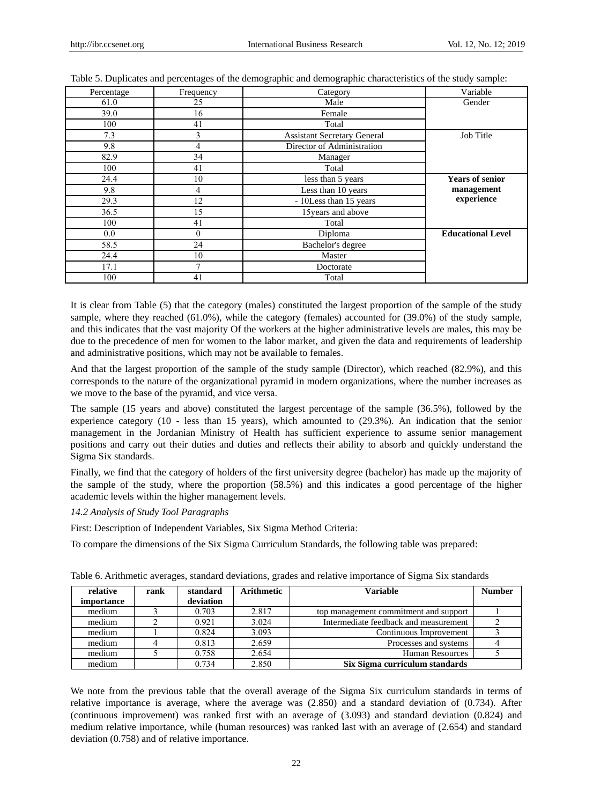| Percentage | Frequency | Category                           | Variable                 |
|------------|-----------|------------------------------------|--------------------------|
| 61.0       | 25        | Male                               | Gender                   |
| 39.0       | 16        | Female                             |                          |
| 100        | 41        | Total                              |                          |
| 7.3        | 3         | <b>Assistant Secretary General</b> | Job Title                |
| 9.8        | 4         | Director of Administration         |                          |
| 82.9       | 34        | Manager                            |                          |
| 100        | 41        | Total                              |                          |
| 24.4       | 10        | less than 5 years                  | <b>Years of senior</b>   |
| 9.8        | 4         | Less than 10 years                 | management               |
| 29.3       | 12        | - 10 Less than 15 years            | experience               |
| 36.5       | 15        | 15 years and above                 |                          |
| 100        | 41        | Total                              |                          |
| 0.0        | $\theta$  | Diploma                            | <b>Educational Level</b> |
| 58.5       | 24        | Bachelor's degree                  |                          |
| 24.4       | 10        | Master                             |                          |
| 17.1       | 7         | Doctorate                          |                          |
| 100        | 41        | Total                              |                          |

Table 5. Duplicates and percentages of the demographic and demographic characteristics of the study sample:

It is clear from Table (5) that the category (males) constituted the largest proportion of the sample of the study sample, where they reached (61.0%), while the category (females) accounted for (39.0%) of the study sample, and this indicates that the vast majority Of the workers at the higher administrative levels are males, this may be due to the precedence of men for women to the labor market, and given the data and requirements of leadership and administrative positions, which may not be available to females.

And that the largest proportion of the sample of the study sample (Director), which reached (82.9%), and this corresponds to the nature of the organizational pyramid in modern organizations, where the number increases as we move to the base of the pyramid, and vice versa.

The sample (15 years and above) constituted the largest percentage of the sample (36.5%), followed by the experience category (10 - less than 15 years), which amounted to (29.3%). An indication that the senior management in the Jordanian Ministry of Health has sufficient experience to assume senior management positions and carry out their duties and duties and reflects their ability to absorb and quickly understand the Sigma Six standards.

Finally, we find that the category of holders of the first university degree (bachelor) has made up the majority of the sample of the study, where the proportion (58.5%) and this indicates a good percentage of the higher academic levels within the higher management levels.

## *14.2 Analysis of Study Tool Paragraphs*

First: Description of Independent Variables, Six Sigma Method Criteria:

To compare the dimensions of the Six Sigma Curriculum Standards, the following table was prepared:

| relative<br><i>importance</i> | rank | standard<br>deviation | Arithmetic | <b>Variable</b>                       | <b>Number</b> |
|-------------------------------|------|-----------------------|------------|---------------------------------------|---------------|
| medium                        |      | 0.703                 | 2.817      | top management commitment and support |               |
| medium                        |      | 0.921                 | 3.024      | Intermediate feedback and measurement |               |
| medium                        |      | 0.824                 | 3.093      | Continuous Improvement                |               |
| medium                        |      | 0.813                 | 2.659      | Processes and systems                 |               |
| medium                        |      | 0.758                 | 2.654      | <b>Human Resources</b>                |               |
| medium                        |      | 0.734                 | 2.850      | Six Sigma curriculum standards        |               |

Table 6. Arithmetic averages, standard deviations, grades and relative importance of Sigma Six standards

We note from the previous table that the overall average of the Sigma Six curriculum standards in terms of relative importance is average, where the average was (2.850) and a standard deviation of (0.734). After (continuous improvement) was ranked first with an average of (3.093) and standard deviation (0.824) and medium relative importance, while (human resources) was ranked last with an average of (2.654) and standard deviation (0.758) and of relative importance.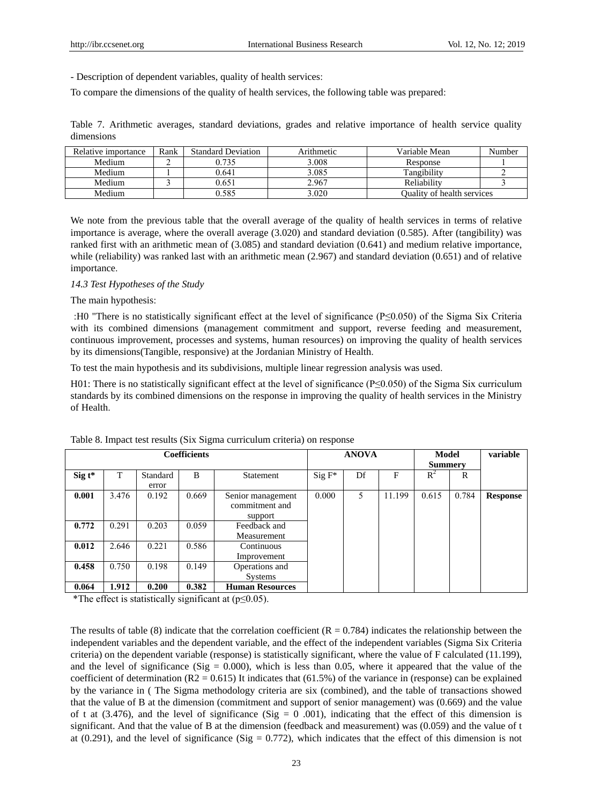- Description of dependent variables, quality of health services:

To compare the dimensions of the quality of health services, the following table was prepared:

Table 7. Arithmetic averages, standard deviations, grades and relative importance of health service quality dimensions

| Relative importance | Rank | <b>Standard Deviation</b> | Arithmetic | Variable Mean                     | Number |
|---------------------|------|---------------------------|------------|-----------------------------------|--------|
| Medium              |      | 0.735                     | 3.008      | Response                          |        |
| Medium              |      | 0.641                     | 3.085      | Tangibility                       |        |
| Medium              |      | 0.651                     | 2.967      | Reliability                       |        |
| Medium              |      | 0.585                     | 3.020      | <b>Ouality of health services</b> |        |

We note from the previous table that the overall average of the quality of health services in terms of relative importance is average, where the overall average (3.020) and standard deviation (0.585). After (tangibility) was ranked first with an arithmetic mean of (3.085) and standard deviation (0.641) and medium relative importance, while (reliability) was ranked last with an arithmetic mean (2.967) and standard deviation (0.651) and of relative importance.

#### *14.3 Test Hypotheses of the Study*

### The main hypothesis:

 7H0 "There is no statistically significant effect at the level of significance (P≤0.050) of the Sigma Six Criteria with its combined dimensions (management commitment and support, reverse feeding and measurement, continuous improvement, processes and systems, human resources) on improving the quality of health services by its dimensions(Tangible, responsive) at the Jordanian Ministry of Health.

To test the main hypothesis and its subdivisions, multiple linear regression analysis was used.

H01: There is no statistically significant effect at the level of significance ( $P \le 0.050$ ) of the Sigma Six curriculum standards by its combined dimensions on the response in improving the quality of health services in the Ministry of Health.

|          |       | <b>Coefficients</b> |       | <b>ANOVA</b>                                   | Model<br><b>Summery</b> |    | variable |       |       |                 |
|----------|-------|---------------------|-------|------------------------------------------------|-------------------------|----|----------|-------|-------|-----------------|
| $Sig$ t* | T     | Standard<br>error   | B     | <b>Statement</b>                               | $Sig F^*$               | Df | F        | $R^2$ | R     |                 |
| 0.001    | 3.476 | 0.192               | 0.669 | Senior management<br>commitment and<br>support | 0.000                   | 5. | 11.199   | 0.615 | 0.784 | <b>Response</b> |
| 0.772    | 0.291 | 0.203               | 0.059 | Feedback and<br>Measurement                    |                         |    |          |       |       |                 |
| 0.012    | 2.646 | 0.221               | 0.586 | Continuous<br>Improvement                      |                         |    |          |       |       |                 |
| 0.458    | 0.750 | 0.198               | 0.149 | Operations and<br><b>Systems</b>               |                         |    |          |       |       |                 |
| 0.064    | 1.912 | 0.200               | 0.382 | <b>Human Resources</b>                         |                         |    |          |       |       |                 |

Table 8. Impact test results (Six Sigma curriculum criteria) on response

\*The effect is statistically significant at (p≤0.05).

The results of table (8) indicate that the correlation coefficient ( $R = 0.784$ ) indicates the relationship between the independent variables and the dependent variable, and the effect of the independent variables (Sigma Six Criteria criteria) on the dependent variable (response) is statistically significant, where the value of F calculated (11.199), and the level of significance (Sig  $= 0.000$ ), which is less than 0.05, where it appeared that the value of the coefficient of determination  $(R2 = 0.615)$  It indicates that  $(61.5%)$  of the variance in (response) can be explained by the variance in ( The Sigma methodology criteria are six (combined), and the table of transactions showed that the value of B at the dimension (commitment and support of senior management) was (0.669) and the value of t at (3.476), and the level of significance (Sig = 0 .001), indicating that the effect of this dimension is significant. And that the value of B at the dimension (feedback and measurement) was (0.059) and the value of t at (0.291), and the level of significance (Sig  $= 0.772$ ), which indicates that the effect of this dimension is not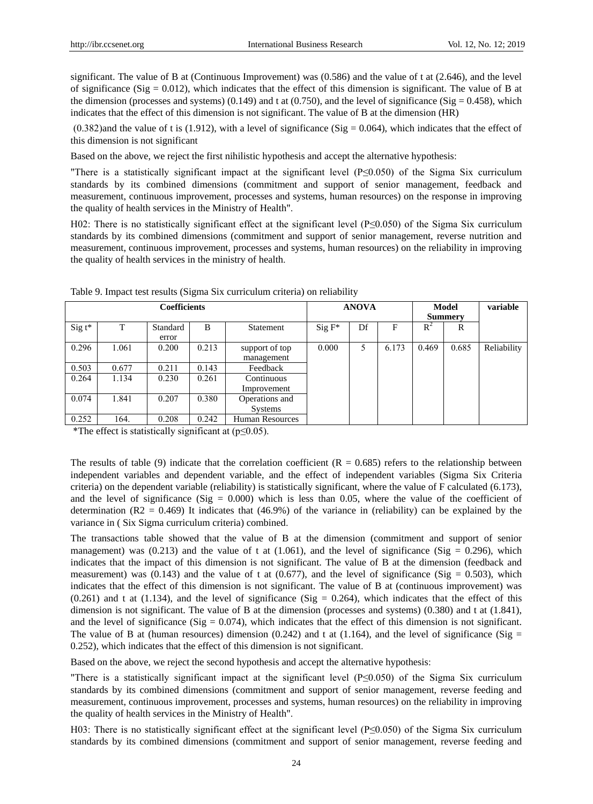significant. The value of B at (Continuous Improvement) was (0.586) and the value of t at (2.646), and the level of significance (Sig =  $0.012$ ), which indicates that the effect of this dimension is significant. The value of B at the dimension (processes and systems) (0.149) and t at (0.750), and the level of significance (Sig = 0.458), which indicates that the effect of this dimension is not significant. The value of B at the dimension (HR)

 $(0.382)$  and the value of t is (1.912), with a level of significance (Sig = 0.064), which indicates that the effect of this dimension is not significant

Based on the above, we reject the first nihilistic hypothesis and accept the alternative hypothesis:

"There is a statistically significant impact at the significant level (P≤0.050) of the Sigma Six curriculum standards by its combined dimensions (commitment and support of senior management, feedback and measurement, continuous improvement, processes and systems, human resources) on the response in improving the quality of health services in the Ministry of Health".

H02: There is no statistically significant effect at the significant level (P≤0.050) of the Sigma Six curriculum standards by its combined dimensions (commitment and support of senior management, reverse nutrition and measurement, continuous improvement, processes and systems, human resources) on the reliability in improving the quality of health services in the ministry of health.

|           |       | <b>Coefficients</b> |       |                        |           | <b>ANOVA</b> |       |       | Model<br><b>Summery</b> | variable    |
|-----------|-------|---------------------|-------|------------------------|-----------|--------------|-------|-------|-------------------------|-------------|
| Sig $t^*$ | т     | Standard            | B     | Statement              | $Sig F^*$ | Df           | F     | $R^2$ | R                       |             |
|           |       | error               |       |                        |           |              |       |       |                         |             |
| 0.296     | 1.061 | 0.200               | 0.213 | support of top         | 0.000     | 5            | 6.173 | 0.469 | 0.685                   | Reliability |
|           |       |                     |       | management             |           |              |       |       |                         |             |
| 0.503     | 0.677 | 0.211               | 0.143 | Feedback               |           |              |       |       |                         |             |
| 0.264     | 1.134 | 0.230               | 0.261 | Continuous             |           |              |       |       |                         |             |
|           |       |                     |       | Improvement            |           |              |       |       |                         |             |
| 0.074     | 1.841 | 0.207               | 0.380 | Operations and         |           |              |       |       |                         |             |
|           |       |                     |       | <b>Systems</b>         |           |              |       |       |                         |             |
| 0.252     | 164.  | 0.208               | 0.242 | <b>Human Resources</b> |           |              |       |       |                         |             |

Table 9. Impact test results (Sigma Six curriculum criteria) on reliability

\*The effect is statistically significant at (p≤0.05).

The results of table (9) indicate that the correlation coefficient ( $R = 0.685$ ) refers to the relationship between independent variables and dependent variable, and the effect of independent variables (Sigma Six Criteria criteria) on the dependent variable (reliability) is statistically significant, where the value of F calculated (6.173), and the level of significance (Sig  $= 0.000$ ) which is less than 0.05, where the value of the coefficient of determination ( $R2 = 0.469$ ) It indicates that (46.9%) of the variance in (reliability) can be explained by the variance in ( Six Sigma curriculum criteria) combined.

The transactions table showed that the value of B at the dimension (commitment and support of senior management) was (0.213) and the value of t at (1.061), and the level of significance (Sig = 0.296), which indicates that the impact of this dimension is not significant. The value of B at the dimension (feedback and measurement) was (0.143) and the value of t at (0.677), and the level of significance (Sig = 0.503), which indicates that the effect of this dimension is not significant. The value of B at (continuous improvement) was  $(0.261)$  and t at  $(1.134)$ , and the level of significance  $(Sig = 0.264)$ , which indicates that the effect of this dimension is not significant. The value of B at the dimension (processes and systems) (0.380) and t at (1.841), and the level of significance (Sig  $= 0.074$ ), which indicates that the effect of this dimension is not significant. The value of B at (human resources) dimension (0.242) and t at (1.164), and the level of significance (Sig  $=$ 0.252), which indicates that the effect of this dimension is not significant.

Based on the above, we reject the second hypothesis and accept the alternative hypothesis:

"There is a statistically significant impact at the significant level (P≤0.050) of the Sigma Six curriculum standards by its combined dimensions (commitment and support of senior management, reverse feeding and measurement, continuous improvement, processes and systems, human resources) on the reliability in improving the quality of health services in the Ministry of Health".

H03: There is no statistically significant effect at the significant level (P≤0.050) of the Sigma Six curriculum standards by its combined dimensions (commitment and support of senior management, reverse feeding and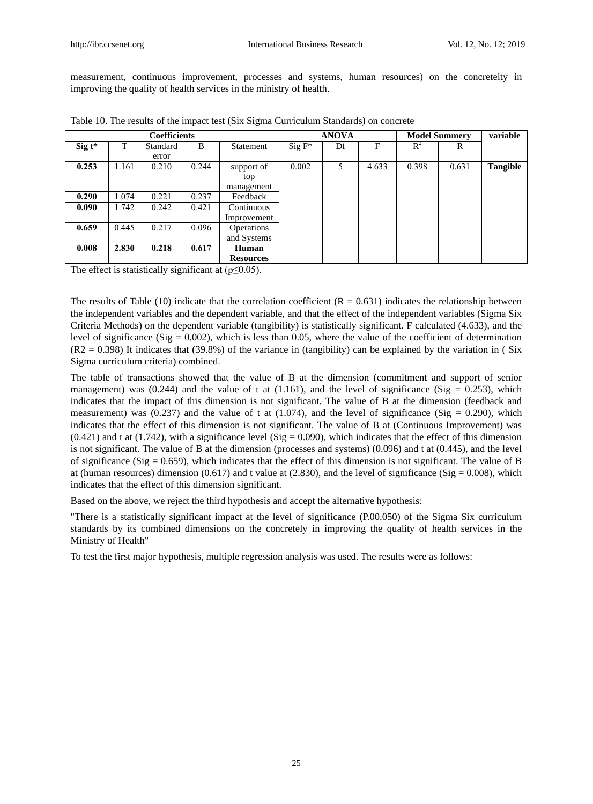measurement, continuous improvement, processes and systems, human resources) on the concreteity in improving the quality of health services in the ministry of health.

|                   |       | <b>Coefficients</b> |       |                   |           | <b>ANOVA</b> |       | <b>Model Summery</b> | variable |          |
|-------------------|-------|---------------------|-------|-------------------|-----------|--------------|-------|----------------------|----------|----------|
| $\text{Sig } t^*$ | T     | Standard            | B     | Statement         | $Sig F^*$ | Df           | F     | $R^2$                | R        |          |
|                   |       | error               |       |                   |           |              |       |                      |          |          |
| 0.253             | 1.161 | 0.210               | 0.244 | support of        | 0.002     | 5            | 4.633 | 0.398                | 0.631    | Tangible |
|                   |       |                     |       | top               |           |              |       |                      |          |          |
|                   |       |                     |       | management        |           |              |       |                      |          |          |
| 0.290             | .074  | 0.221               | 0.237 | Feedback          |           |              |       |                      |          |          |
| 0.090             | 1.742 | 0.242               | 0.421 | Continuous        |           |              |       |                      |          |          |
|                   |       |                     |       | Improvement       |           |              |       |                      |          |          |
| 0.659             | 0.445 | 0.217               | 0.096 | <b>Operations</b> |           |              |       |                      |          |          |
|                   |       |                     |       | and Systems       |           |              |       |                      |          |          |
| 0.008             | 2.830 | 0.218               | 0.617 | <b>Human</b>      |           |              |       |                      |          |          |
|                   |       |                     |       | <b>Resources</b>  |           |              |       |                      |          |          |

|  |  |  |  |  |  |  |  |  |  |  |  |  | Table 10. The results of the impact test (Six Sigma Curriculum Standards) on concrete |
|--|--|--|--|--|--|--|--|--|--|--|--|--|---------------------------------------------------------------------------------------|
|--|--|--|--|--|--|--|--|--|--|--|--|--|---------------------------------------------------------------------------------------|

The effect is statistically significant at  $(p \le 0.05)$ .

The results of Table (10) indicate that the correlation coefficient ( $R = 0.631$ ) indicates the relationship between the independent variables and the dependent variable, and that the effect of the independent variables (Sigma Six Criteria Methods) on the dependent variable (tangibility) is statistically significant. F calculated (4.633), and the level of significance (Sig =  $0.002$ ), which is less than 0.05, where the value of the coefficient of determination  $(R2 = 0.398)$  It indicates that (39.8%) of the variance in (tangibility) can be explained by the variation in (Six Sigma curriculum criteria) combined.

The table of transactions showed that the value of B at the dimension (commitment and support of senior management) was (0.244) and the value of t at (1.161), and the level of significance (Sig = 0.253), which indicates that the impact of this dimension is not significant. The value of B at the dimension (feedback and measurement) was (0.237) and the value of t at  $(1.074)$ , and the level of significance (Sig = 0.290), which indicates that the effect of this dimension is not significant. The value of B at (Continuous Improvement) was  $(0.421)$  and t at  $(1.742)$ , with a significance level  $(Sig = 0.090)$ , which indicates that the effect of this dimension is not significant. The value of B at the dimension (processes and systems) (0.096) and t at (0.445), and the level of significance (Sig =  $0.659$ ), which indicates that the effect of this dimension is not significant. The value of B at (human resources) dimension (0.617) and t value at (2.830), and the level of significance (Sig = 0.008), which indicates that the effect of this dimension significant.

Based on the above, we reject the third hypothesis and accept the alternative hypothesis:

"There is a statistically significant impact at the level of significance (P.00.050) of the Sigma Six curriculum standards by its combined dimensions on the concretely in improving the quality of health services in the Ministry of Health"

To test the first major hypothesis, multiple regression analysis was used. The results were as follows: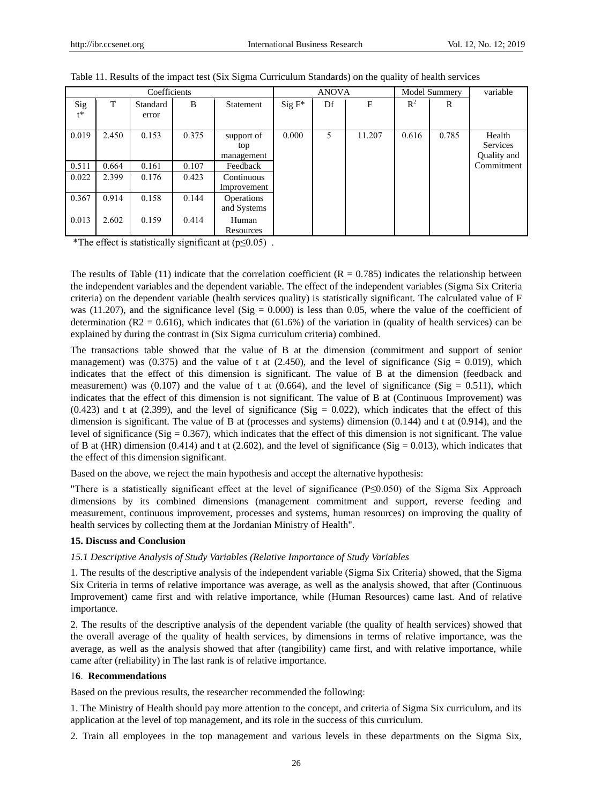| Coefficients |       |          |       |             | <b>ANOVA</b> |    |        | Model Summery |       | variable    |
|--------------|-------|----------|-------|-------------|--------------|----|--------|---------------|-------|-------------|
| Sig          | T     | Standard | B     | Statement   | $Sig F^*$    | Df | F      | $R^2$         | R     |             |
| $t^*$        |       | error    |       |             |              |    |        |               |       |             |
| 0.019        | 2.450 | 0.153    | 0.375 | support of  | 0.000        | 5  | 11.207 | 0.616         | 0.785 | Health      |
|              |       |          |       | top         |              |    |        |               |       | Services    |
|              |       |          |       | management  |              |    |        |               |       | Quality and |
| 0.511        | 0.664 | 0.161    | 0.107 | Feedback    |              |    |        |               |       | Commitment  |
| 0.022        | 2.399 | 0.176    | 0.423 | Continuous  |              |    |        |               |       |             |
|              |       |          |       | Improvement |              |    |        |               |       |             |
| 0.367        | 0.914 | 0.158    | 0.144 | Operations  |              |    |        |               |       |             |
|              |       |          |       | and Systems |              |    |        |               |       |             |
| 0.013        | 2.602 | 0.159    | 0.414 | Human       |              |    |        |               |       |             |
|              |       |          |       | Resources   |              |    |        |               |       |             |

\*The effect is statistically significant at  $(p \le 0.05)$ .

The results of Table (11) indicate that the correlation coefficient ( $R = 0.785$ ) indicates the relationship between the independent variables and the dependent variable. The effect of the independent variables (Sigma Six Criteria criteria) on the dependent variable (health services quality) is statistically significant. The calculated value of F was (11.207), and the significance level (Sig =  $0.000$ ) is less than 0.05, where the value of the coefficient of determination (R2 = 0.616), which indicates that  $(61.6%)$  of the variation in (quality of health services) can be explained by during the contrast in (Six Sigma curriculum criteria) combined.

The transactions table showed that the value of B at the dimension (commitment and support of senior management) was (0.375) and the value of t at (2.450), and the level of significance (Sig = 0.019), which indicates that the effect of this dimension is significant. The value of B at the dimension (feedback and measurement) was (0.107) and the value of t at (0.664), and the level of significance (Sig = 0.511), which indicates that the effect of this dimension is not significant. The value of B at (Continuous Improvement) was  $(0.423)$  and t at  $(2.399)$ , and the level of significance  $(Sig = 0.022)$ , which indicates that the effect of this dimension is significant. The value of B at (processes and systems) dimension (0.144) and t at (0.914), and the level of significance ( $Sig = 0.367$ ), which indicates that the effect of this dimension is not significant. The value of B at (HR) dimension (0.414) and t at (2.602), and the level of significance (Sig = 0.013), which indicates that the effect of this dimension significant.

Based on the above, we reject the main hypothesis and accept the alternative hypothesis:

"There is a statistically significant effect at the level of significance (P≤0.050) of the Sigma Six Approach dimensions by its combined dimensions (management commitment and support, reverse feeding and measurement, continuous improvement, processes and systems, human resources) on improving the quality of health services by collecting them at the Jordanian Ministry of Health".

#### **15. Discuss and Conclusion**

#### *15.1 Descriptive Analysis of Study Variables (Relative Importance of Study Variables*

1. The results of the descriptive analysis of the independent variable (Sigma Six Criteria) showed, that the Sigma Six Criteria in terms of relative importance was average, as well as the analysis showed, that after (Continuous Improvement) came first and with relative importance, while (Human Resources) came last. And of relative importance.

2. The results of the descriptive analysis of the dependent variable (the quality of health services) showed that the overall average of the quality of health services, by dimensions in terms of relative importance, was the average, as well as the analysis showed that after (tangibility) came first, and with relative importance, while came after (reliability) in The last rank is of relative importance.

#### 1**6**. **Recommendations**

Based on the previous results, the researcher recommended the following:

1. The Ministry of Health should pay more attention to the concept, and criteria of Sigma Six curriculum, and its application at the level of top management, and its role in the success of this curriculum.

2. Train all employees in the top management and various levels in these departments on the Sigma Six,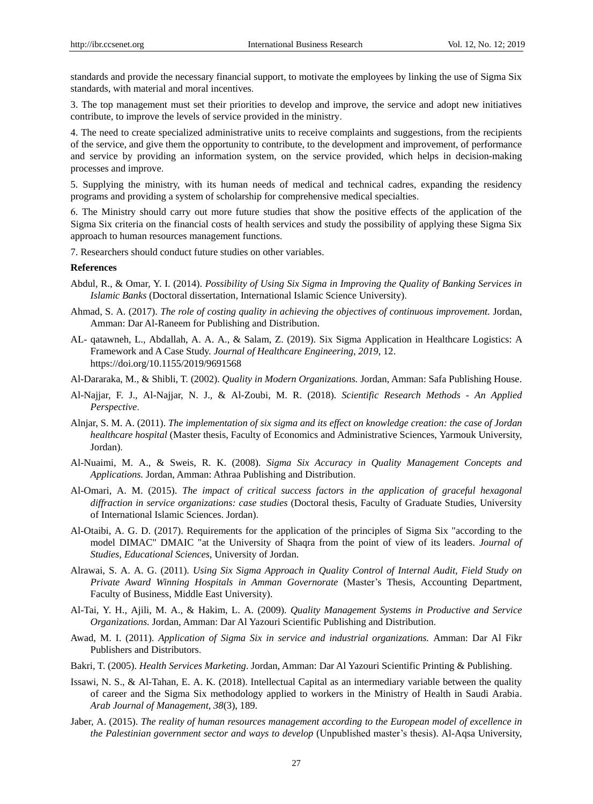standards and provide the necessary financial support, to motivate the employees by linking the use of Sigma Six standards, with material and moral incentives.

3. The top management must set their priorities to develop and improve, the service and adopt new initiatives contribute, to improve the levels of service provided in the ministry.

4. The need to create specialized administrative units to receive complaints and suggestions, from the recipients of the service, and give them the opportunity to contribute, to the development and improvement, of performance and service by providing an information system, on the service provided, which helps in decision-making processes and improve.

5. Supplying the ministry, with its human needs of medical and technical cadres, expanding the residency programs and providing a system of scholarship for comprehensive medical specialties.

3. The Ministry should carry out more future studies that show the positive effects of the application of the Sigma Six criteria on the financial costs of health services and study the possibility of applying these Sigma Six approach to human resources management functions.

7. Researchers should conduct future studies on other variables.

## **References**

- Abdul, R., & Omar, Y. I. (2014). *Possibility of Using Six Sigma in Improving the Quality of Banking Services in Islamic Banks* (Doctoral dissertation, International Islamic Science University).
- Ahmad, S. A. (2017). *The role of costing quality in achieving the objectives of continuous improvement.* Jordan, Amman: Dar Al-Raneem for Publishing and Distribution.
- AL- qatawneh, L., Abdallah, A. A. A., & Salam, Z. (2019). Six Sigma Application in Healthcare Logistics: A Framework and A Case Study. *Journal of Healthcare Engineering, 2019*, 12. https://doi.org/10.1155/2019/9691568
- Al-Dararaka, M., & Shibli, T. (2002). *Quality in Modern Organizations.* Jordan, Amman: Safa Publishing House.
- Al-Najjar, F. J., Al-Najjar, N. J., & Al-Zoubi, M. R. (2018). *Scientific Research Methods - An Applied Perspective*.
- Alnjar, S. M. A. (2011). *The implementation of six sigma and its effect on knowledge creation: the case of Jordan healthcare hospital* (Master thesis, Faculty of Economics and Administrative Sciences, Yarmouk University, Jordan).
- Al-Nuaimi, M. A., & Sweis, R. K. (2008). *Sigma Six Accuracy in Quality Management Concepts and Applications.* Jordan, Amman: Athraa Publishing and Distribution.
- Al-Omari, A. M. (2015). *The impact of critical success factors in the application of graceful hexagonal diffraction in service organizations: case studies* (Doctoral thesis, Faculty of Graduate Studies, University of International Islamic Sciences. Jordan).
- Al-Otaibi, A. G. D. (2017). Requirements for the application of the principles of Sigma Six "according to the model DIMAC" DMAIC "at the University of Shaqra from the point of view of its leaders. *Journal of Studies, Educational Sciences*, University of Jordan.
- Alrawai, S. A. A. G. (2011). *Using Six Sigma Approach in Quality Control of Internal Audit, Field Study on Private Award Winning Hospitals in Amman Governorate* (Master's Thesis, Accounting Department, Faculty of Business, Middle East University).
- Al-Tai, Y. H., Ajili, M. A., & Hakim, L. A. (2009). *Quality Management Systems in Productive and Service Organizations.* Jordan, Amman: Dar Al Yazouri Scientific Publishing and Distribution.
- Awad, M. I. (2011). *Application of Sigma Six in service and industrial organizations.* Amman: Dar Al Fikr Publishers and Distributors.
- Bakri, T. (2005). *Health Services Marketing*. Jordan, Amman: Dar Al Yazouri Scientific Printing & Publishing.
- Issawi, N. S., & Al-Tahan, E. A. K. (2018). Intellectual Capital as an intermediary variable between the quality of career and the Sigma Six methodology applied to workers in the Ministry of Health in Saudi Arabia. *Arab Journal of Management, 38*(3), 189.
- Jaber, A. (2015). *The reality of human resources management according to the European model of excellence in the Palestinian government sector and ways to develop* (Unpublished master's thesis). Al-Aqsa University,